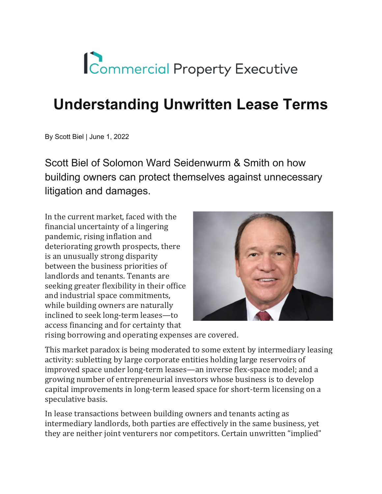## Commercial Property Executive

## **Understanding Unwritten Lease Terms**

By Scott Biel | June 1, 2022

Scott Biel of Solomon Ward Seidenwurm & Smith on how building owners can protect themselves against unnecessary litigation and damages.

In the current market, faced with the financial uncertainty of a lingering pandemic, rising inflation and deteriorating growth prospects, there is an unusually strong disparity between the business priorities of landlords and tenants. Tenants are seeking greater flexibility in their office and industrial space commitments, while building owners are naturally inclined to seek long-term leases—to access financing and for certainty that



rising borrowing and operating expenses are covered.

This market paradox is being moderated to some extent by intermediary leasing activity: subletting by large corporate entities holding large reservoirs of improved space under long-term leases—an inverse flex-space model; and a growing number of entrepreneurial investors whose business is to develop capital improvements in long-term leased space for short-term licensing on a speculative basis.

In lease transactions between building owners and tenants acting as intermediary landlords, both parties are effectively in the same business, yet they are neither joint venturers nor competitors. Certain unwritten "implied"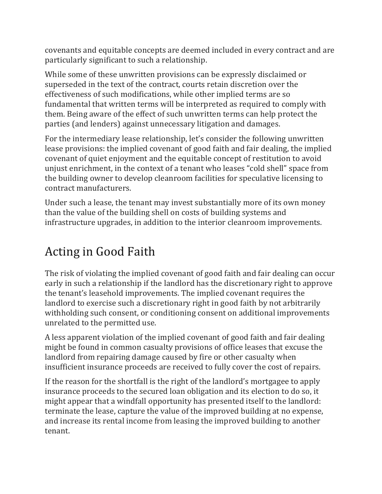covenants and equitable concepts are deemed included in every contract and are particularly significant to such a relationship.

While some of these unwritten provisions can be expressly disclaimed or superseded in the text of the contract, courts retain discretion over the effectiveness of such modifications, while other implied terms are so fundamental that written terms will be interpreted as required to comply with them. Being aware of the effect of such unwritten terms can help protect the parties (and lenders) against unnecessary litigation and damages.

For the intermediary lease relationship, let's consider the following unwritten lease provisions: the implied covenant of good faith and fair dealing, the implied covenant of quiet enjoyment and the equitable concept of restitution to avoid unjust enrichment, in the context of a tenant who leases "cold shell" space from the building owner to develop cleanroom facilities for speculative licensing to contract manufacturers.

Under such a lease, the tenant may invest substantially more of its own money than the value of the building shell on costs of building systems and infrastructure upgrades, in addition to the interior cleanroom improvements.

## Acting in Good Faith

The risk of violating the implied covenant of good faith and fair dealing can occur early in such a relationship if the landlord has the discretionary right to approve the tenant's leasehold improvements. The implied covenant requires the landlord to exercise such a discretionary right in good faith by not arbitrarily withholding such consent, or conditioning consent on additional improvements unrelated to the permitted use.

A less apparent violation of the implied covenant of good faith and fair dealing might be found in common casualty provisions of office leases that excuse the landlord from repairing damage caused by fire or other casualty when insufficient insurance proceeds are received to fully cover the cost of repairs.

If the reason for the shortfall is the right of the landlord's mortgagee to apply insurance proceeds to the secured loan obligation and its election to do so, it might appear that a windfall opportunity has presented itself to the landlord: terminate the lease, capture the value of the improved building at no expense, and increase its rental income from leasing the improved building to another tenant.